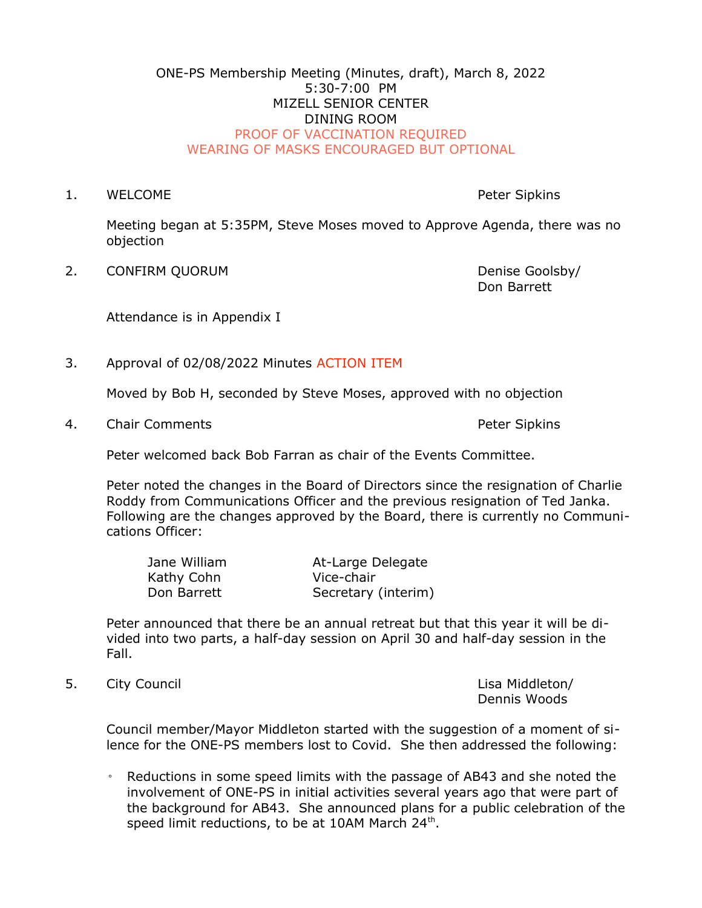## ONE-PS Membership Meeting (Minutes, draft), March 8, 2022 5:30-7:00 PM MIZELL SENIOR CENTER DINING ROOM PROOF OF VACCINATION REQUIRED WEARING OF MASKS ENCOURAGED BUT OPTIONAL

1. WELCOME **Peter Sipkins** 

Meeting began at 5:35PM, Steve Moses moved to Approve Agenda, there was no objection

2. CONFIRM QUORUM **Denise Goolsby** 

Don Barrett

Attendance is in Appendix I

3. Approval of 02/08/2022 Minutes ACTION ITEM

Moved by Bob H, seconded by Steve Moses, approved with no objection

4. Chair Comments **Peter Sipkins** 

Peter welcomed back Bob Farran as chair of the Events Committee.

Peter noted the changes in the Board of Directors since the resignation of Charlie Roddy from Communications Officer and the previous resignation of Ted Janka. Following are the changes approved by the Board, there is currently no Communications Officer:

| Jane William | At-Large Delegate   |
|--------------|---------------------|
| Kathy Cohn   | Vice-chair          |
| Don Barrett  | Secretary (interim) |

Peter announced that there be an annual retreat but that this year it will be divided into two parts, a half-day session on April 30 and half-day session in the Fall.

5. City Council **Lisa Middleton**/

Dennis Woods

Council member/Mayor Middleton started with the suggestion of a moment of silence for the ONE-PS members lost to Covid. She then addressed the following:

◦ Reductions in some speed limits with the passage of AB43 and she noted the involvement of ONE-PS in initial activities several years ago that were part of the background for AB43. She announced plans for a public celebration of the speed limit reductions, to be at 10AM March 24<sup>th</sup>.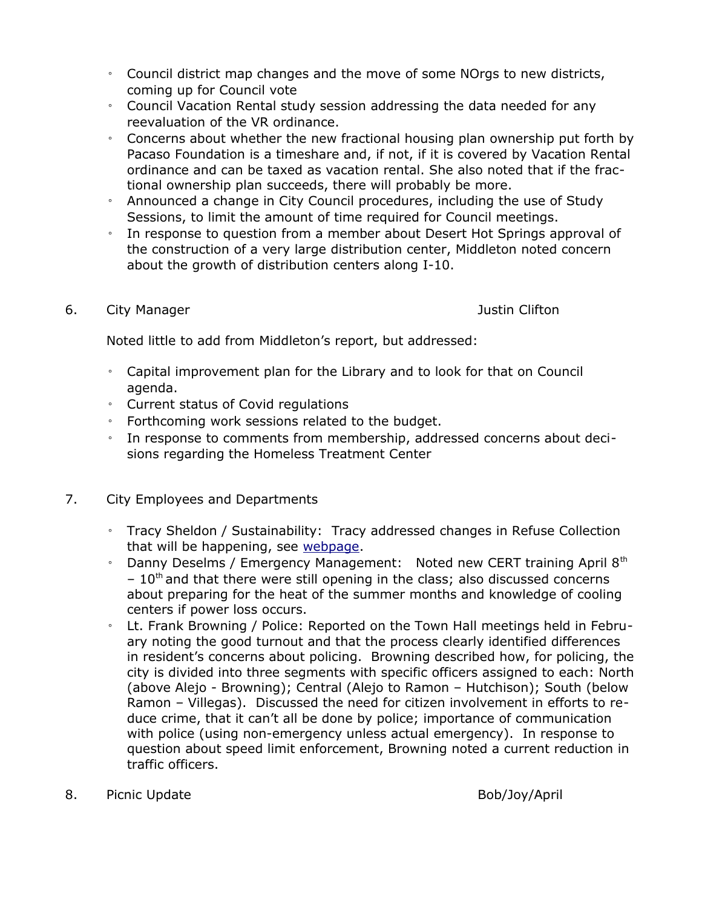- Council district map changes and the move of some NOrgs to new districts, coming up for Council vote
- Council Vacation Rental study session addressing the data needed for any reevaluation of the VR ordinance.
- Concerns about whether the new fractional housing plan ownership put forth by Pacaso Foundation is a timeshare and, if not, if it is covered by Vacation Rental ordinance and can be taxed as vacation rental. She also noted that if the fractional ownership plan succeeds, there will probably be more.
- Announced a change in City Council procedures, including the use of Study Sessions, to limit the amount of time required for Council meetings.
- In response to question from a member about Desert Hot Springs approval of the construction of a very large distribution center, Middleton noted concern about the growth of distribution centers along I-10.

## 6. City Manager **Justin Clifton**

Noted little to add from Middleton's report, but addressed:

- Capital improvement plan for the Library and to look for that on Council agenda.
- Current status of Covid regulations
- Forthcoming work sessions related to the budget.
- In response to comments from membership, addressed concerns about decisions regarding the Homeless Treatment Center
- 7. City Employees and Departments
	- Tracy Sheldon / Sustainability: Tracy addressed changes in Refuse Collection that will be happening, see [webpage](https://www.palmspringsca.gov/services/sustainability-and-recycling/recycling-waste-management/residential-green-waste).
	- Danny Deselms / Emergency Management: Noted new CERT training April  $8<sup>th</sup>$  $-10$ <sup>th</sup> and that there were still opening in the class; also discussed concerns about preparing for the heat of the summer months and knowledge of cooling centers if power loss occurs.
	- Lt. Frank Browning / Police: Reported on the Town Hall meetings held in February noting the good turnout and that the process clearly identified differences in resident's concerns about policing. Browning described how, for policing, the city is divided into three segments with specific officers assigned to each: North (above Alejo - Browning); Central (Alejo to Ramon – Hutchison); South (below Ramon – Villegas). Discussed the need for citizen involvement in efforts to reduce crime, that it can't all be done by police; importance of communication with police (using non-emergency unless actual emergency). In response to question about speed limit enforcement, Browning noted a current reduction in traffic officers.
- 8. Picnic Update **Bob/Joy/April**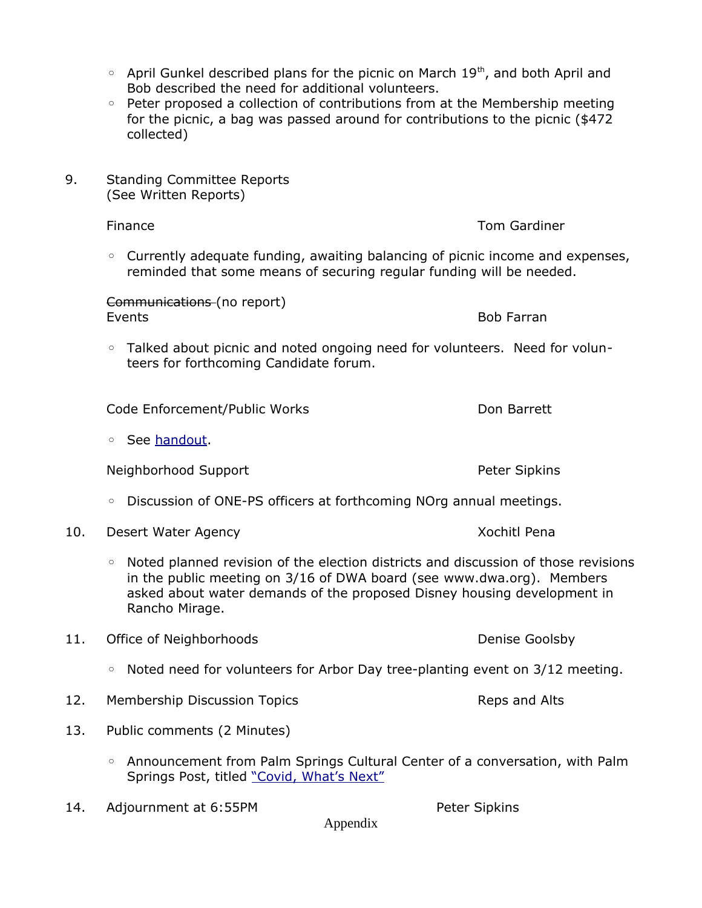- $\degree$  April Gunkel described plans for the picnic on March 19<sup>th</sup>, and both April and Bob described the need for additional volunteers.
- Peter proposed a collection of contributions from at the Membership meeting for the picnic, a bag was passed around for contributions to the picnic (\$472 collected)
- 9. Standing Committee Reports (See Written Reports)
	- Currently adequate funding, awaiting balancing of picnic income and expenses, reminded that some means of securing regular funding will be needed.

Communications (no report) Events **Bob Farran** 

◦ Talked about picnic and noted ongoing need for volunteers. Need for volunteers for forthcoming Candidate forum.

Code Enforcement/Public Works Don Barrett

◦ See [handout.](https://www.one-ps.org/one-ps-monthly-meeting-materials.html)

Neighborhood Support **Peter Sipkins** 

- Discussion of ONE-PS officers at forthcoming NOrg annual meetings.
- 10. Desert Water Agency **Xochitle Penaming Contract Contract Agency** Acchief Pena
	- Noted planned revision of the election districts and discussion of those revisions in the public meeting on 3/16 of DWA board (see www.dwa.org). Members asked about water demands of the proposed Disney housing development in Rancho Mirage.
- 11. Office of Neighborhoods and Denise Goolsby
	- Noted need for volunteers for Arbor Day tree-planting event on 3/12 meeting.
- 12. Membership Discussion Topics **Reparament Alts** Reps and Alts
- 13. Public comments (2 Minutes)
	- Announcement from Palm Springs Cultural Center of a conversation, with Palm Springs Post, titled ["Covid, What's Next"](https://www.eventbrite.com/e/community-conversation-covid-whats-next-tickets-277903295237)
- 14. Adjournment at 6:55PM Peter Sipkins

Appendix

**Finance** Tom Gardiner